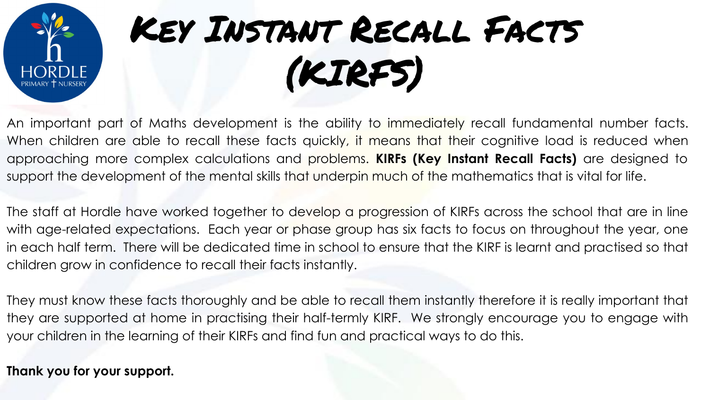

## Key Instant Recall Facts (KIRFS)

An important part of Maths development is the ability to immediately recall fundamental number facts. When children are able to recall these facts quickly, it means that their cognitive load is reduced when approaching more complex calculations and problems. **KIRFs (Key Instant Recall Facts)** are designed to support the development of the mental skills that underpin much of the mathematics that is vital for life.

The staff at Hordle have worked together to develop a progression of KIRFs across the school that are in line with age-related expectations. Each year or phase group has six facts to focus on throughout the year, one in each half term. There will be dedicated time in school to ensure that the KIRF is learnt and practised so that children grow in confidence to recall their facts instantly.

They must know these facts thoroughly and be able to recall them instantly therefore it is really important that they are supported at home in practising their half-termly KIRF. We strongly encourage you to engage with your children in the learning of their KIRFs and find fun and practical ways to do this.

**Thank you for your support.**